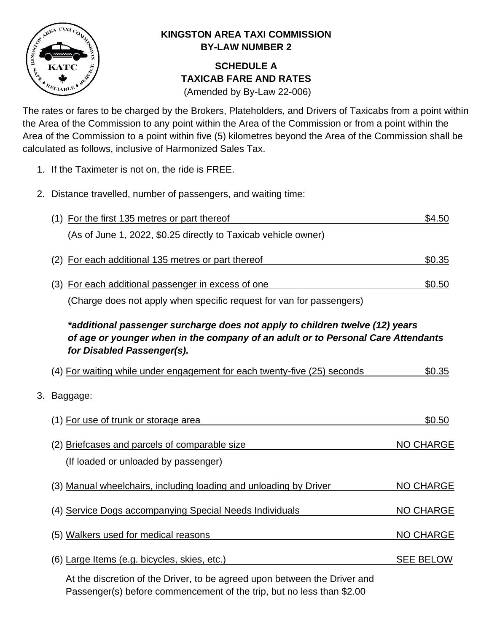

## **KINGSTON AREA TAXI COMMISSION BY-LAW NUMBER 2**

## **SCHEDULE A TAXICAB FARE AND RATES**

(Amended by By-Law 22-006)

The rates or fares to be charged by the Brokers, Plateholders, and Drivers of Taxicabs from a point within the Area of the Commission to any point within the Area of the Commission or from a point within the Area of the Commission to a point within five (5) kilometres beyond the Area of the Commission shall be calculated as follows, inclusive of Harmonized Sales Tax.

- 1. If the Taximeter is not on, the ride is FREE.
- 2. Distance travelled, number of passengers, and waiting time:

| (1) For the first 135 metres or part thereof                         | \$4.50 |
|----------------------------------------------------------------------|--------|
| (As of June 1, 2022, \$0.25 directly to Taxicab vehicle owner)       |        |
| (2) For each additional 135 metres or part thereof                   | \$0.35 |
| (3) For each additional passenger in excess of one                   | \$0.50 |
| (Charge does not apply when specific request for van for passengers) |        |

## *\*additional passenger surcharge does not apply to children twelve (12) years of age or younger when in the company of an adult or to Personal Care Attendants for Disabled Passenger(s).*

| (4) For waiting while under engagement for each twenty-five (25) seconds              | \$0.35           |
|---------------------------------------------------------------------------------------|------------------|
| 3. Baggage:                                                                           |                  |
| (1) For use of trunk or storage area                                                  | \$0.50           |
| (2) Briefcases and parcels of comparable size<br>(If loaded or unloaded by passenger) | <b>NO CHARGE</b> |
| (3) Manual wheelchairs, including loading and unloading by Driver                     | <b>NO CHARGE</b> |
| (4) Service Dogs accompanying Special Needs Individuals                               | <b>NO CHARGE</b> |
| (5) Walkers used for medical reasons                                                  | <b>NO CHARGE</b> |

(6) Large Items (e.g. bicycles, skies, etc.) SEE BELOW

At the discretion of the Driver, to be agreed upon between the Driver and Passenger(s) before commencement of the trip, but no less than \$2.00